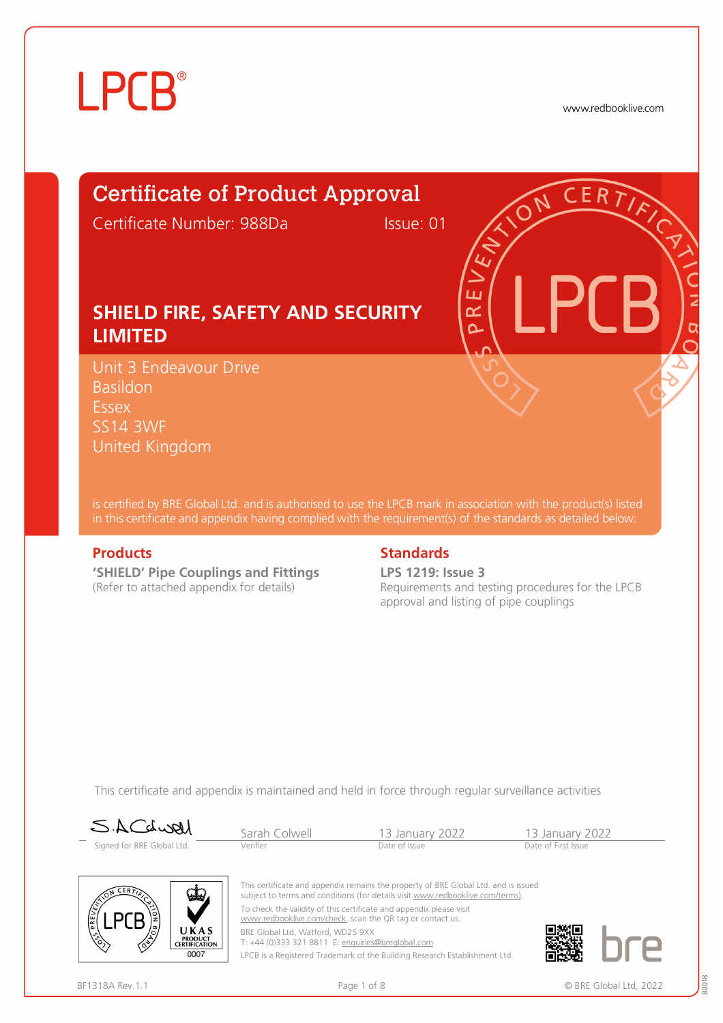# **LPCB**

www.redbooklive.com

### Certificate of Product Approval

Certificate Number: 988Da Issue: 01

ய œ Ò

#### **SHIELD FIRE, SAFETY AND SECURITY LIMITED**

Unit 3 Endeavour Drive Basildon **Essex** SS14 3WF United Kingdom

is certified by BRE Global Ltd. and is authorised to use the LPCB mark in association with the product(s) listed in this certificate and appendix having complied with the requirement(s) of the standards as detailed below:

**'SHIELD' Pipe Couplings and Fittings**  (Refer to attached appendix for details)

#### **Products** Standards **Standards**

**LPS 1219: Issue 3** Requirements and testing procedures for the LPCB approval and listing of pipe couplings

This certificate and appendix is maintained and held in force through regular surveillance activities



Sarah Colwell 13 January 2022 13 January 2022<br>
Verifier Date of Issue Date of Issue Date of First Issue



This certificate and appendix remains the property of BRE Global Ltd. and is issued subject to terms and conditions (for details visit [www.redbooklive.com/terms\).](http://www.redbooklive.com/terms)) To check the validity of this certificate and appendix please visit [www.redbooklive.com/check,](http://www.redbooklive.com/check) scan the QR tag or contact us.

BRE Global Ltd, Watford, WD25 9XX

T: +44 (0)333 321 8811 E: [enquiries@breglobal.com](mailto:enquiries@breglobal.com) LPCB is a Registered Trademark of the Building Research Establishment Ltd.

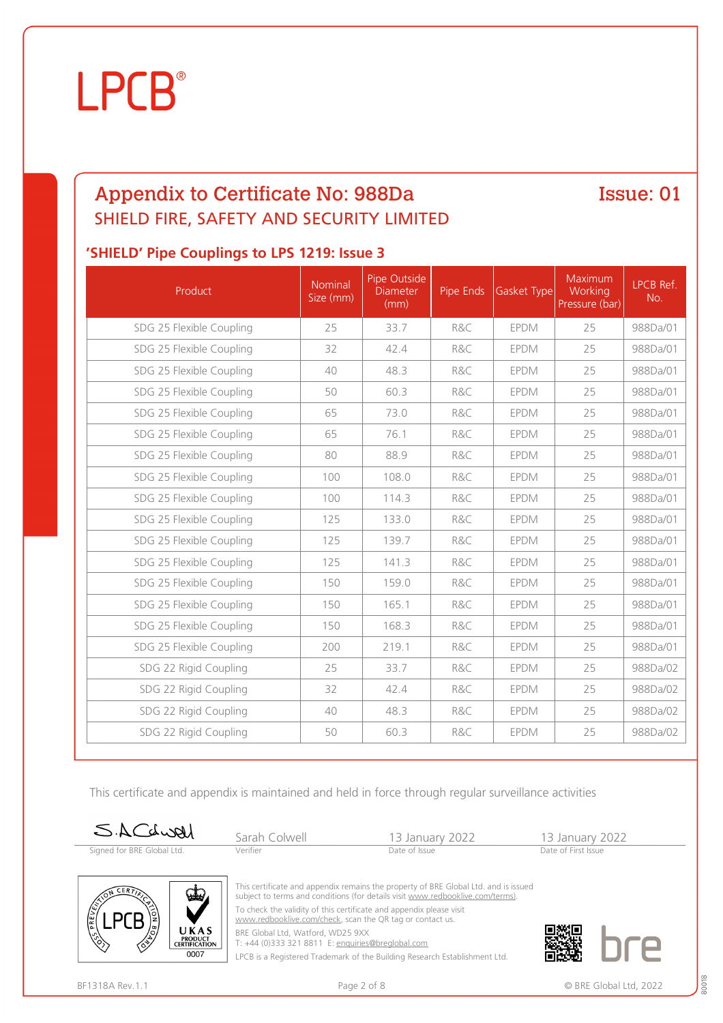### Appendix to Certificate No: 988Da SHIELD FIRE, SAFETY AND SECURITY LIMITED

Issue: 01

#### **'SHIELD' Pipe Couplings to LPS 1219: Issue 3**

| Product                  | Nominal<br>Size (mm) | Pipe Outside<br><b>Diameter</b><br>(mm) | Pipe Ends | Gasket Type | Maximum<br>Working<br>Pressure (bar) | LPCB Ref.<br>No. |
|--------------------------|----------------------|-----------------------------------------|-----------|-------------|--------------------------------------|------------------|
| SDG 25 Flexible Coupling | 25                   | 33.7                                    | R&C       | <b>EPDM</b> | 25                                   | 988Da/01         |
| SDG 25 Flexible Coupling | 32                   | 42.4                                    | R&C       | <b>EPDM</b> | 25                                   | 988Da/01         |
| SDG 25 Flexible Coupling | 40                   | 48.3                                    | R&C       | <b>EPDM</b> | 25                                   | 988Da/01         |
| SDG 25 Flexible Coupling | 50                   | 60.3                                    | R&C       | <b>EPDM</b> | 25                                   | 988Da/01         |
| SDG 25 Flexible Coupling | 65                   | 73.0                                    | R&C       | <b>EPDM</b> | 25                                   | 988Da/01         |
| SDG 25 Flexible Coupling | 65                   | 76.1                                    | R&C       | <b>EPDM</b> | 25                                   | 988Da/01         |
| SDG 25 Flexible Coupling | 80                   | 88.9                                    | R&C       | <b>EPDM</b> | 25                                   | 988Da/01         |
| SDG 25 Flexible Coupling | 100                  | 108.0                                   | R&C       | <b>EPDM</b> | 25                                   | 988Da/01         |
| SDG 25 Flexible Coupling | 100                  | 114.3                                   | R&C       | <b>EPDM</b> | 25                                   | 988Da/01         |
| SDG 25 Flexible Coupling | 125                  | 133.0                                   | R&C       | <b>EPDM</b> | 25                                   | 988Da/01         |
| SDG 25 Flexible Coupling | 125                  | 139.7                                   | R&C       | <b>EPDM</b> | 25                                   | 988Da/01         |
| SDG 25 Flexible Coupling | 125                  | 141.3                                   | R&C       | <b>EPDM</b> | 25                                   | 988Da/01         |
| SDG 25 Flexible Coupling | 150                  | 159.0                                   | R&C       | <b>EPDM</b> | 25                                   | 988Da/01         |
| SDG 25 Flexible Coupling | 150                  | 165.1                                   | R&C       | <b>EPDM</b> | 25                                   | 988Da/01         |
| SDG 25 Flexible Coupling | 150                  | 168.3                                   | R&C       | <b>EPDM</b> | 25                                   | 988Da/01         |
| SDG 25 Flexible Coupling | 200                  | 219.1                                   | R&C       | <b>EPDM</b> | 25                                   | 988Da/01         |
| SDG 22 Rigid Coupling    | 25                   | 33.7                                    | R&C       | <b>EPDM</b> | 25                                   | 988Da/02         |
| SDG 22 Rigid Coupling    | 32                   | 42.4                                    | R&C       | EPDM        | 25                                   | 988Da/02         |
| SDG 22 Rigid Coupling    | 40                   | 48.3                                    | R&C       | <b>EPDM</b> | 25                                   | 988Da/02         |
| SDG 22 Rigid Coupling    | 50                   | 60.3                                    | R&C       | <b>EPDM</b> | 25                                   | 988Da/02         |

This certificate and appendix is maintained and held in force through regular surveillance activities

| SACdwal                    | Sarah Colwell | 13 January 2022 | 13 January 2022     |  |
|----------------------------|---------------|-----------------|---------------------|--|
| Signed for BRE Global Ltd. | Verifier      | Date of Issue   | Date of First Issue |  |



This certificate and appendix remains the property of BRE Global Ltd. and is issued subject to terms and conditions (for details visit [www.redbooklive.com/terms\)](http://www.redbooklive.com/terms)). To check the validity of this certificate and appendix please visit

[www.redbooklive.com/check,](http://www.redbooklive.com/check) scan the QR tag or contact us.

BRE Global Ltd, Watford, WD25 9XX T: +44 (0)333 321 8811 E: [enquiries@breglobal.com](mailto:enquiries@breglobal.com)

LPCB is a Registered Trademark of the Building Research Establishment Ltd.

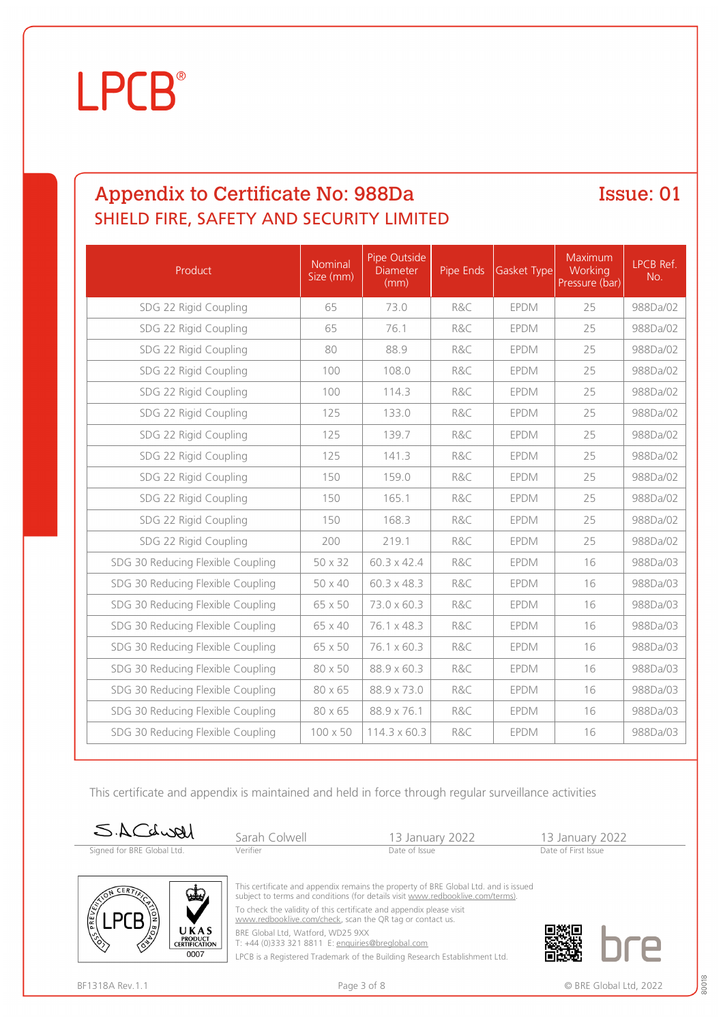### Appendix to Certificate No: 988Da SHIELD FIRE, SAFETY AND SECURITY LIMITED

Issue: 01

| Product                           | Nominal<br>Size (mm) | Pipe Outside<br><b>Diameter</b><br>(mm) | Pipe Ends | Gasket Type | Maximum<br>Working<br>Pressure (bar) | LPCB Ref.<br>No. |
|-----------------------------------|----------------------|-----------------------------------------|-----------|-------------|--------------------------------------|------------------|
| SDG 22 Rigid Coupling             | 65                   | 73.0                                    | R&C       | <b>EPDM</b> | 25                                   | 988Da/02         |
| SDG 22 Rigid Coupling             | 65                   | 76.1                                    | R&C       | <b>EPDM</b> | 25                                   | 988Da/02         |
| SDG 22 Rigid Coupling             | 80                   | 88.9                                    | R&C       | <b>EPDM</b> | 25                                   | 988Da/02         |
| SDG 22 Rigid Coupling             | 100                  | 108.0                                   | R&C       | <b>EPDM</b> | 25                                   | 988Da/02         |
| SDG 22 Rigid Coupling             | 100                  | 114.3                                   | R&C       | <b>EPDM</b> | 25                                   | 988Da/02         |
| SDG 22 Rigid Coupling             | 125                  | 133.0                                   | R&C       | <b>EPDM</b> | 25                                   | 988Da/02         |
| SDG 22 Rigid Coupling             | 125                  | 139.7                                   | R&C       | <b>EPDM</b> | 25                                   | 988Da/02         |
| SDG 22 Rigid Coupling             | 125                  | 141.3                                   | R&C       | <b>EPDM</b> | 25                                   | 988Da/02         |
| SDG 22 Rigid Coupling             | 150                  | 159.0                                   | R&C       | <b>EPDM</b> | 25                                   | 988Da/02         |
| SDG 22 Rigid Coupling             | 150                  | 165.1                                   | R&C       | <b>EPDM</b> | 25                                   | 988Da/02         |
| SDG 22 Rigid Coupling             | 150                  | 168.3                                   | R&C       | <b>EPDM</b> | 25                                   | 988Da/02         |
| SDG 22 Rigid Coupling             | 200                  | 219.1                                   | R&C       | <b>EPDM</b> | 25                                   | 988Da/02         |
| SDG 30 Reducing Flexible Coupling | 50 x 32              | 60.3 x 42.4                             | R&C       | <b>EPDM</b> | 16                                   | 988Da/03         |
| SDG 30 Reducing Flexible Coupling | 50 x 40              | 60.3 x 48.3                             | R&C       | <b>EPDM</b> | 16                                   | 988Da/03         |
| SDG 30 Reducing Flexible Coupling | 65 x 50              | 73.0 x 60.3                             | R&C       | <b>EPDM</b> | 16                                   | 988Da/03         |
| SDG 30 Reducing Flexible Coupling | 65 x 40              | 76.1 x 48.3                             | R&C       | <b>EPDM</b> | 16                                   | 988Da/03         |
| SDG 30 Reducing Flexible Coupling | 65 x 50              | 76.1 x 60.3                             | R&C       | <b>EPDM</b> | 16                                   | 988Da/03         |
| SDG 30 Reducing Flexible Coupling | 80 x 50              | 88.9 x 60.3                             | R&C       | <b>EPDM</b> | 16                                   | 988Da/03         |
| SDG 30 Reducing Flexible Coupling | 80 x 65              | 88.9 x 73.0                             | R&C       | <b>EPDM</b> | 16                                   | 988Da/03         |
| SDG 30 Reducing Flexible Coupling | 80 x 65              | 88.9 x 76.1                             | R&C       | <b>EPDM</b> | 16                                   | 988Da/03         |
| SDG 30 Reducing Flexible Coupling | 100 x 50             | 114.3 x 60.3                            | R&C       | <b>EPDM</b> | 16                                   | 988Da/03         |

This certificate and appendix is maintained and held in force through regular surveillance activities

| SACdwal                    | Sarah Colwell | 13 January 2022 | 13 January 2022     |  |
|----------------------------|---------------|-----------------|---------------------|--|
| Signed for BRE Global Ltd. | Verifier      | Date of Issue   | Date of First Issue |  |



This certificate and appendix remains the property of BRE Global Ltd. and is issued subject to terms and conditions (for details visit [www.redbooklive.com/terms\)](http://www.redbooklive.com/terms)). To check the validity of this certificate and appendix please visit

[www.redbooklive.com/check,](http://www.redbooklive.com/check) scan the QR tag or contact us.

BRE Global Ltd, Watford, WD25 9XX T: +44 (0)333 321 8811 E: [enquiries@breglobal.com](mailto:enquiries@breglobal.com)

LPCB is a Registered Trademark of the Building Research Establishment Ltd.

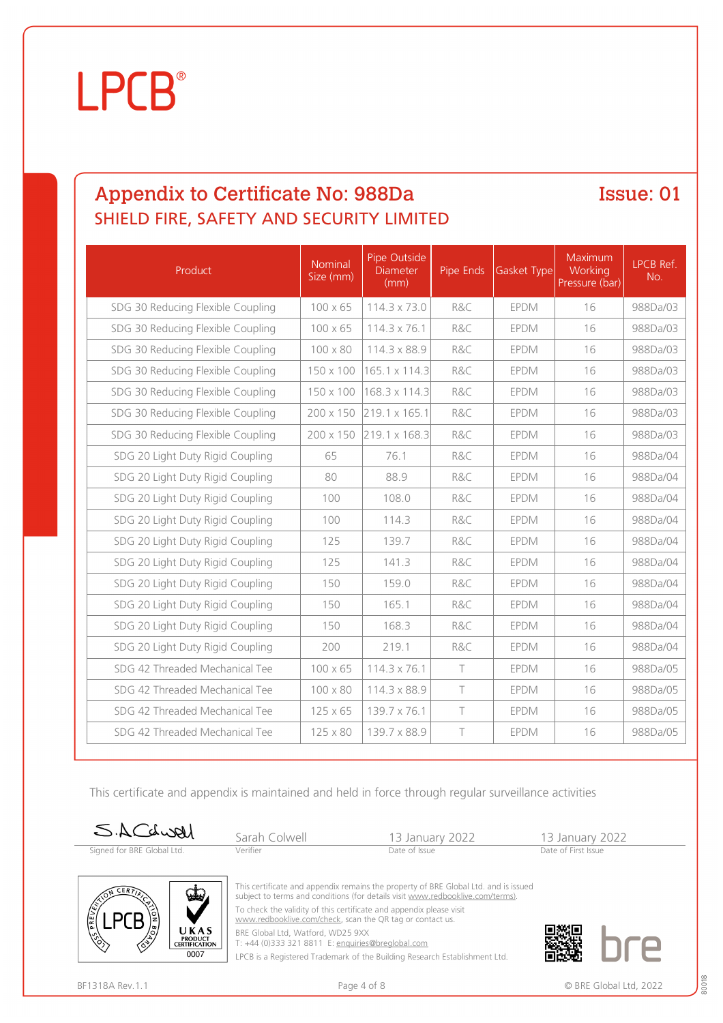### Appendix to Certificate No: 988Da SHIELD FIRE, SAFETY AND SECURITY LIMITED

Issue: 01

| Product                           | Nominal<br>Size (mm) | Pipe Outside<br><b>Diameter</b><br>(mm) | Pipe Ends | Gasket Type | Maximum<br>Working<br>Pressure (bar) | <b>LPCB Ref.</b><br>No. |
|-----------------------------------|----------------------|-----------------------------------------|-----------|-------------|--------------------------------------|-------------------------|
| SDG 30 Reducing Flexible Coupling | 100 x 65             | 114.3 x 73.0                            | R&C       | <b>EPDM</b> | 16                                   | 988Da/03                |
| SDG 30 Reducing Flexible Coupling | 100 x 65             | 114.3 x 76.1                            | R&C       | <b>EPDM</b> | 16                                   | 988Da/03                |
| SDG 30 Reducing Flexible Coupling | 100 x 80             | 114.3 x 88.9                            | R&C       | <b>EPDM</b> | 16                                   | 988Da/03                |
| SDG 30 Reducing Flexible Coupling | 150 x 100            | 165.1 x 114.3                           | R&C       | <b>EPDM</b> | 16                                   | 988Da/03                |
| SDG 30 Reducing Flexible Coupling | 150 x 100            | 168.3 x 114.3                           | R&C       | <b>EPDM</b> | 16                                   | 988Da/03                |
| SDG 30 Reducing Flexible Coupling | 200 x 150            | 219.1 x 165.1                           | R&C       | <b>EPDM</b> | 16                                   | 988Da/03                |
| SDG 30 Reducing Flexible Coupling | 200 x 150            | 219.1 x 168.3                           | R&C       | <b>EPDM</b> | 16                                   | 988Da/03                |
| SDG 20 Light Duty Rigid Coupling  | 65                   | 76.1                                    | R&C       | <b>EPDM</b> | 16                                   | 988Da/04                |
| SDG 20 Light Duty Rigid Coupling  | 80                   | 88.9                                    | R&C       | <b>EPDM</b> | 16                                   | 988Da/04                |
| SDG 20 Light Duty Rigid Coupling  | 100                  | 108.0                                   | R&C       | <b>EPDM</b> | 16                                   | 988Da/04                |
| SDG 20 Light Duty Rigid Coupling  | 100                  | 114.3                                   | R&C       | <b>EPDM</b> | 16                                   | 988Da/04                |
| SDG 20 Light Duty Rigid Coupling  | 125                  | 139.7                                   | R&C       | <b>EPDM</b> | 16                                   | 988Da/04                |
| SDG 20 Light Duty Rigid Coupling  | 125                  | 141.3                                   | R&C       | <b>EPDM</b> | 16                                   | 988Da/04                |
| SDG 20 Light Duty Rigid Coupling  | 150                  | 159.0                                   | R&C       | <b>EPDM</b> | 16                                   | 988Da/04                |
| SDG 20 Light Duty Rigid Coupling  | 150                  | 165.1                                   | R&C       | <b>EPDM</b> | 16                                   | 988Da/04                |
| SDG 20 Light Duty Rigid Coupling  | 150                  | 168.3                                   | R&C       | <b>EPDM</b> | 16                                   | 988Da/04                |
| SDG 20 Light Duty Rigid Coupling  | 200                  | 219.1                                   | R&C       | <b>EPDM</b> | 16                                   | 988Da/04                |
| SDG 42 Threaded Mechanical Tee    | 100 x 65             | 114.3 x 76.1                            | $\top$    | <b>EPDM</b> | 16                                   | 988Da/05                |
| SDG 42 Threaded Mechanical Tee    | 100 x 80             | 114.3 x 88.9                            | $\top$    | <b>EPDM</b> | 16                                   | 988Da/05                |
| SDG 42 Threaded Mechanical Tee    | 125 x 65             | 139.7 x 76.1                            | $\top$    | <b>EPDM</b> | 16                                   | 988Da/05                |
| SDG 42 Threaded Mechanical Tee    | 125 x 80             | 139.7 x 88.9                            | $\top$    | <b>EPDM</b> | 16                                   | 988Da/05                |

This certificate and appendix is maintained and held in force through regular surveillance activities

| SACdwell                   | Sarah Colwell | 13 January 2022 | 13 January 2022     |  |
|----------------------------|---------------|-----------------|---------------------|--|
| Signed for BRE Global Ltd. | Verifier      | Date of Issue   | Date of First Issue |  |



This certificate and appendix remains the property of BRE Global Ltd. and is issued subject to terms and conditions (for details visit [www.redbooklive.com/terms\)](http://www.redbooklive.com/terms)). To check the validity of this certificate and appendix please visit

[www.redbooklive.com/check,](http://www.redbooklive.com/check) scan the QR tag or contact us.

BRE Global Ltd, Watford, WD25 9XX T: +44 (0)333 321 8811 E: [enquiries@breglobal.com](mailto:enquiries@breglobal.com)

LPCB is a Registered Trademark of the Building Research Establishment Ltd.

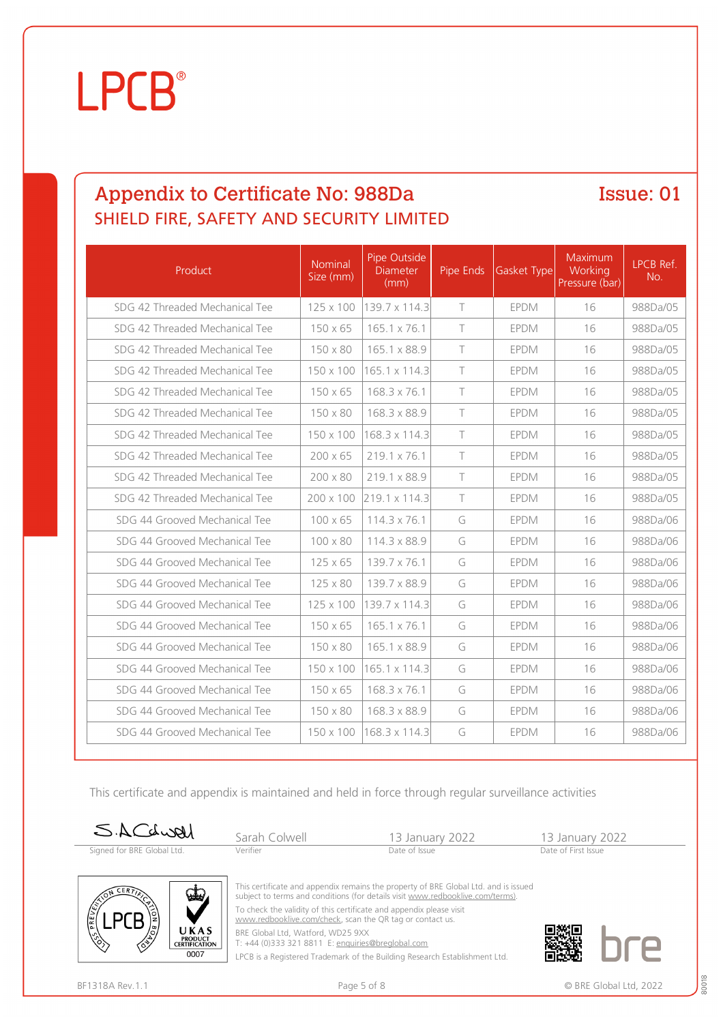### Appendix to Certificate No: 988Da SHIELD FIRE, SAFETY AND SECURITY LIMITED

Issue: 01

| Product                        | Nominal<br>Size (mm) | Pipe Outside<br><b>Diameter</b><br>(mm) | Pipe Ends | <b>Gasket Type</b> | Maximum<br>Working<br>Pressure (bar) | LPCB Ref.<br>No. |
|--------------------------------|----------------------|-----------------------------------------|-----------|--------------------|--------------------------------------|------------------|
| SDG 42 Threaded Mechanical Tee | 125 x 100            | 139.7 x 114.3                           | $\top$    | <b>EPDM</b>        | 16                                   | 988Da/05         |
| SDG 42 Threaded Mechanical Tee | $150 \times 65$      | 165.1 x 76.1                            | $\top$    | <b>EPDM</b>        | 16                                   | 988Da/05         |
| SDG 42 Threaded Mechanical Tee | 150 x 80             | 165.1 x 88.9                            | $\top$    | <b>EPDM</b>        | 16                                   | 988Da/05         |
| SDG 42 Threaded Mechanical Tee | 150 x 100            | 165.1 x 114.3                           | $\top$    | <b>EPDM</b>        | 16                                   | 988Da/05         |
| SDG 42 Threaded Mechanical Tee | $150 \times 65$      | 168.3 x 76.1                            | $\top$    | <b>EPDM</b>        | 16                                   | 988Da/05         |
| SDG 42 Threaded Mechanical Tee | 150 x 80             | 168.3 x 88.9                            | $\top$    | <b>EPDM</b>        | 16                                   | 988Da/05         |
| SDG 42 Threaded Mechanical Tee | 150 x 100            | 168.3 x 114.3                           | $\top$    | <b>EPDM</b>        | 16                                   | 988Da/05         |
| SDG 42 Threaded Mechanical Tee | 200 x 65             | 219.1 x 76.1                            | $\top$    | <b>EPDM</b>        | 16                                   | 988Da/05         |
| SDG 42 Threaded Mechanical Tee | 200 x 80             | 219.1 x 88.9                            | $\top$    | <b>EPDM</b>        | 16                                   | 988Da/05         |
| SDG 42 Threaded Mechanical Tee | $200 \times 100$     | 219.1 x 114.3                           | $\top$    | <b>EPDM</b>        | 16                                   | 988Da/05         |
| SDG 44 Grooved Mechanical Tee  | $100 \times 65$      | $114.3 \times 76.1$                     | G         | <b>EPDM</b>        | 16                                   | 988Da/06         |
| SDG 44 Grooved Mechanical Tee  | $100 \times 80$      | 114.3 x 88.9                            | G         | <b>EPDM</b>        | 16                                   | 988Da/06         |
| SDG 44 Grooved Mechanical Tee  | $125 \times 65$      | 139.7 x 76.1                            | G         | <b>EPDM</b>        | 16                                   | 988Da/06         |
| SDG 44 Grooved Mechanical Tee  | 125 x 80             | 139.7 x 88.9                            | G         | <b>EPDM</b>        | 16                                   | 988Da/06         |
| SDG 44 Grooved Mechanical Tee  | 125 x 100            | 139.7 x 114.3                           | G         | <b>EPDM</b>        | 16                                   | 988Da/06         |
| SDG 44 Grooved Mechanical Tee  | $150 \times 65$      | 165.1 x 76.1                            | G         | <b>EPDM</b>        | 16                                   | 988Da/06         |
| SDG 44 Grooved Mechanical Tee  | 150 x 80             | 165.1 x 88.9                            | G         | EPDM               | 16                                   | 988Da/06         |
| SDG 44 Grooved Mechanical Tee  | 150 x 100            | 165.1 x 114.3                           | G         | <b>EPDM</b>        | 16                                   | 988Da/06         |
| SDG 44 Grooved Mechanical Tee  | $150 \times 65$      | 168.3 x 76.1                            | G         | <b>EPDM</b>        | 16                                   | 988Da/06         |
| SDG 44 Grooved Mechanical Tee  | 150 x 80             | 168.3 x 88.9                            | G         | <b>EPDM</b>        | 16                                   | 988Da/06         |
| SDG 44 Grooved Mechanical Tee  | 150 x 100            | 168.3 x 114.3                           | G         | <b>EPDM</b>        | 16                                   | 988Da/06         |

This certificate and appendix is maintained and held in force through regular surveillance activities

| SACdwal                    | Sarah Colwell | 13 January 2022 | 13 January 2022     |
|----------------------------|---------------|-----------------|---------------------|
| Signed for BRE Global Ltd. | Verifier      | Date of Issue   | Date of First Issue |



This certificate and appendix remains the property of BRE Global Ltd. and is issued subject to terms and conditions (for details visit [www.redbooklive.com/terms\)](http://www.redbooklive.com/terms)). To check the validity of this certificate and appendix please visit

[www.redbooklive.com/check,](http://www.redbooklive.com/check) scan the QR tag or contact us.

BRE Global Ltd, Watford, WD25 9XX T: +44 (0)333 321 8811 E: [enquiries@breglobal.com](mailto:enquiries@breglobal.com)

LPCB is a Registered Trademark of the Building Research Establishment Ltd.

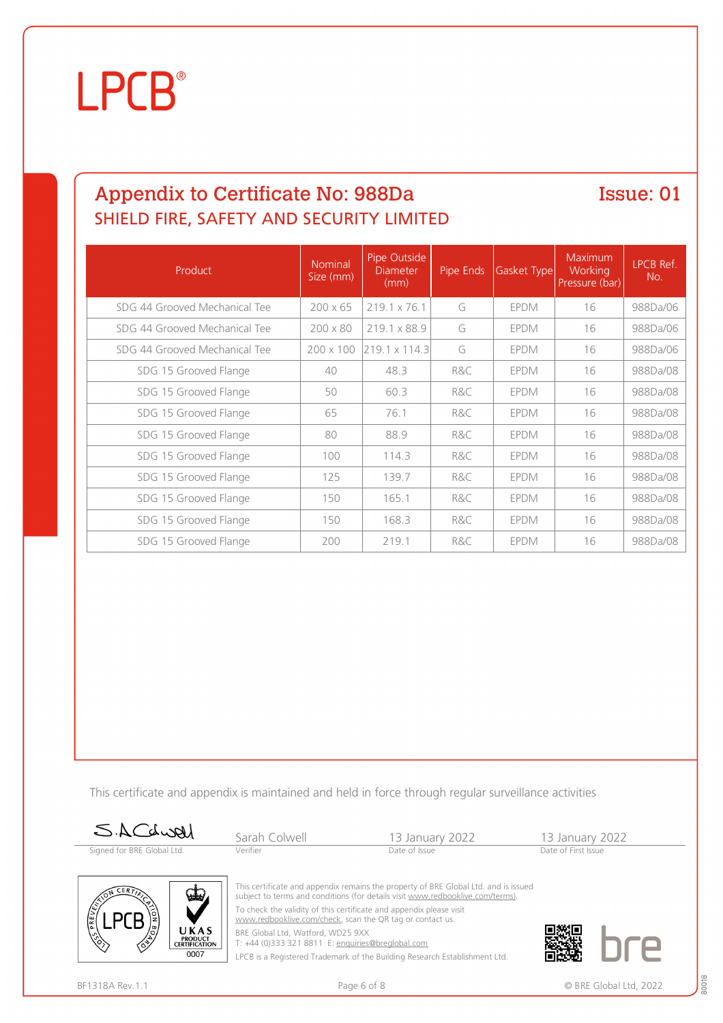### Appendix to Certificate No: 988Da SHIELD FIRE, SAFETY AND SECURITY LIMITED

Issue: 01

| Product                       | <b>Nominal</b><br>Size (mm) | Pipe Outside<br><b>Diameter</b><br>(mm) | Pipe Ends | Gasket Type | Maximum<br>Working<br>Pressure (bar) | LPCB Ref.<br>No. |
|-------------------------------|-----------------------------|-----------------------------------------|-----------|-------------|--------------------------------------|------------------|
| SDG 44 Grooved Mechanical Tee | $200 \times 65$             | 219.1 x 76.1                            | G         | <b>EPDM</b> | 16                                   | 988Da/06         |
| SDG 44 Grooved Mechanical Tee | $200 \times 80$             | 219.1 x 88.9                            | G         | <b>EPDM</b> | 16                                   | 988Da/06         |
| SDG 44 Grooved Mechanical Tee | $200 \times 100$            | 219.1 x 114.3                           | G         | <b>EPDM</b> | 16                                   | 988Da/06         |
| SDG 15 Grooved Flange         | 40                          | 48.3                                    | R&C       | <b>EPDM</b> | 16                                   | 988Da/08         |
| SDG 15 Grooved Flange         | 50                          | 60.3                                    | R&C       | <b>EPDM</b> | 16                                   | 988Da/08         |
| SDG 15 Grooved Flange         | 65                          | 76.1                                    | R&C       | <b>EPDM</b> | 16                                   | 988Da/08         |
| SDG 15 Grooved Flange         | 80                          | 88.9                                    | R&C       | <b>EPDM</b> | 16                                   | 988Da/08         |
| SDG 15 Grooved Flange         | 100                         | 114.3                                   | R&C       | <b>EPDM</b> | 16                                   | 988Da/08         |
| SDG 15 Grooved Flange         | 125                         | 139.7                                   | R&C       | <b>EPDM</b> | 16                                   | 988Da/08         |
| SDG 15 Grooved Flange         | 150                         | 165.1                                   | R&C       | <b>EPDM</b> | 16                                   | 988Da/08         |
| SDG 15 Grooved Flange         | 150                         | 168.3                                   | R&C       | <b>EPDM</b> | 16                                   | 988Da/08         |
| SDG 15 Grooved Flange         | 200                         | 219.1                                   | R&C       | <b>EPDM</b> | 16                                   | 988Da/08         |

This certificate and appendix is maintained and held in force through regular surveillance activities

| SACCLUAL                   | Sarah Colwell | 13 January 2022                                                                                                                                                      | 13 January 2022     |
|----------------------------|---------------|----------------------------------------------------------------------------------------------------------------------------------------------------------------------|---------------------|
| Signed for BRE Global Ltd. | Verifier      | Date of Issue                                                                                                                                                        | Date of First Issue |
|                            |               |                                                                                                                                                                      |                     |
| ದೊ                         |               | This certificate and appendix remains the property of BRE Global Ltd. and is issued<br>cubiect to terms and conditions (for details visit www.redbooklive.com/terms) |                     |



To check the validity of this certificate and appendix please visit [www.redbooklive.com/check,](http://www.redbooklive.com/check) scan the QR tag or contact us.

BRE Global Ltd, Watford, WD25 9XX T: +44 (0)333 321 8811 E: [enquiries@breglobal.com](mailto:enquiries@breglobal.com)

LPCB is a Registered Trademark of the Building Research Establishment Ltd.

LPCE

**PRODUCT<br>CERTIFICATION**  $0007$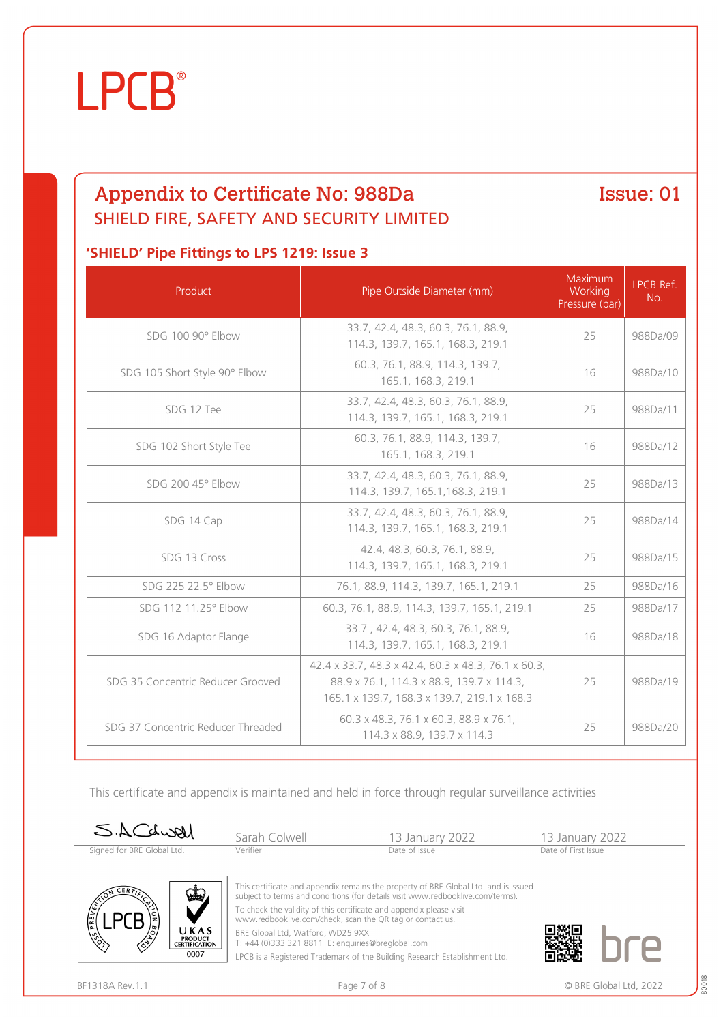

### Appendix to Certificate No: 988Da SHIELD FIRE, SAFETY AND SECURITY LIMITED

Issue: 01

#### **'SHIELD' Pipe Fittings to LPS 1219: Issue 3**

| Product                            | Pipe Outside Diameter (mm)                                                                                                                      | Maximum<br>Working<br>Pressure (bar) | <b>I PCB Ref</b><br>No. |
|------------------------------------|-------------------------------------------------------------------------------------------------------------------------------------------------|--------------------------------------|-------------------------|
| SDG 100 90° Elbow                  | 33.7, 42.4, 48.3, 60.3, 76.1, 88.9,<br>114.3, 139.7, 165.1, 168.3, 219.1                                                                        | 25                                   | 988Da/09                |
| SDG 105 Short Style 90° Elbow      | 60.3, 76.1, 88.9, 114.3, 139.7,<br>165.1, 168.3, 219.1                                                                                          | 16                                   | 988Da/10                |
| SDG 12 Tee                         | 33.7, 42.4, 48.3, 60.3, 76.1, 88.9,<br>114.3, 139.7, 165.1, 168.3, 219.1                                                                        | 25                                   | 988Da/11                |
| SDG 102 Short Style Tee            | 60.3, 76.1, 88.9, 114.3, 139.7,<br>165.1, 168.3, 219.1                                                                                          | 16                                   | 988Da/12                |
| SDG 200 45° Elbow                  | 33.7, 42.4, 48.3, 60.3, 76.1, 88.9,<br>114.3, 139.7, 165.1, 168.3, 219.1                                                                        | 25                                   | 988Da/13                |
| SDG 14 Cap                         | 33.7, 42.4, 48.3, 60.3, 76.1, 88.9,<br>114.3, 139.7, 165.1, 168.3, 219.1                                                                        | 25                                   | 988Da/14                |
| SDG 13 Cross                       | 42.4, 48.3, 60.3, 76.1, 88.9,<br>114.3, 139.7, 165.1, 168.3, 219.1                                                                              | 25                                   | 988Da/15                |
| SDG 225 22.5° Elbow                | 76.1, 88.9, 114.3, 139.7, 165.1, 219.1                                                                                                          | 25                                   | 988Da/16                |
| SDG 112 11.25° Elbow               | 60.3, 76.1, 88.9, 114.3, 139.7, 165.1, 219.1                                                                                                    | 25                                   | 988Da/17                |
| SDG 16 Adaptor Flange              | 33.7, 42.4, 48.3, 60.3, 76.1, 88.9,<br>114.3, 139.7, 165.1, 168.3, 219.1                                                                        | 16                                   | 988Da/18                |
| SDG 35 Concentric Reducer Grooved  | 42.4 x 33.7, 48.3 x 42.4, 60.3 x 48.3, 76.1 x 60.3,<br>88.9 x 76.1, 114.3 x 88.9, 139.7 x 114.3,<br>165.1 x 139.7, 168.3 x 139.7, 219.1 x 168.3 | 25                                   | 988Da/19                |
| SDG 37 Concentric Reducer Threaded | 60.3 x 48.3, 76.1 x 60.3, 88.9 x 76.1,<br>114.3 x 88.9, 139.7 x 114.3                                                                           | 25                                   | 988Da/20                |

This certificate and appendix is maintained and held in force through regular surveillance activities





BRE Global Ltd, Watford, WD25 9XX

T: +44 (0)333 321 8811 E: [enquiries@breglobal.com](mailto:enquiries@breglobal.com)

LPCB is a Registered Trademark of the Building Research Establishment Ltd.

UKAS **PRODUCT<br>CERTIFICATION**  $0007$